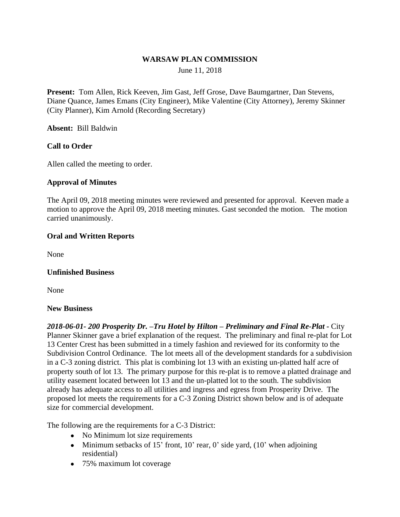## **WARSAW PLAN COMMISSION**

June 11, 2018

**Present:** Tom Allen, Rick Keeven, Jim Gast, Jeff Grose, Dave Baumgartner, Dan Stevens, Diane Quance, James Emans (City Engineer), Mike Valentine (City Attorney), Jeremy Skinner (City Planner), Kim Arnold (Recording Secretary)

**Absent:** Bill Baldwin

## **Call to Order**

Allen called the meeting to order.

#### **Approval of Minutes**

The April 09, 2018 meeting minutes were reviewed and presented for approval. Keeven made a motion to approve the April 09, 2018 meeting minutes. Gast seconded the motion. The motion carried unanimously.

## **Oral and Written Reports**

None

#### **Unfinished Business**

None

#### **New Business**

*2018-06-01- 200 Prosperity Dr. –Tru Hotel by Hilton – Preliminary and Final Re-Plat -* City Planner Skinner gave a brief explanation of the request. The preliminary and final re-plat for Lot 13 Center Crest has been submitted in a timely fashion and reviewed for its conformity to the Subdivision Control Ordinance. The lot meets all of the development standards for a subdivision in a C-3 zoning district. This plat is combining lot 13 with an existing un-platted half acre of property south of lot 13. The primary purpose for this re-plat is to remove a platted drainage and utility easement located between lot 13 and the un-platted lot to the south. The subdivision already has adequate access to all utilities and ingress and egress from Prosperity Drive. The proposed lot meets the requirements for a C-3 Zoning District shown below and is of adequate size for commercial development.

The following are the requirements for a C-3 District:

- No Minimum lot size requirements
- Minimum setbacks of 15' front, 10' rear, 0' side yard,  $(10)$ ' when adjoining residential)
- 75% maximum lot coverage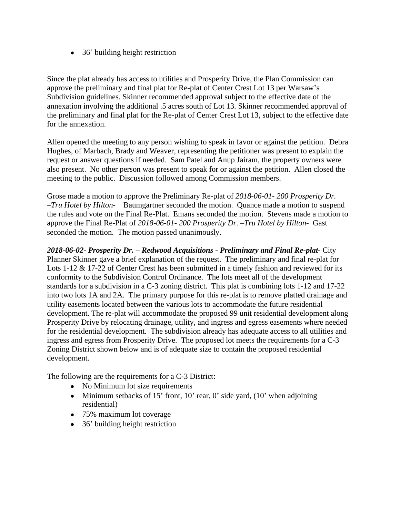• 36' building height restriction

Since the plat already has access to utilities and Prosperity Drive, the Plan Commission can approve the preliminary and final plat for Re-plat of Center Crest Lot 13 per Warsaw's Subdivision guidelines. Skinner recommended approval subject to the effective date of the annexation involving the additional .5 acres south of Lot 13. Skinner recommended approval of the preliminary and final plat for the Re-plat of Center Crest Lot 13, subject to the effective date for the annexation.

Allen opened the meeting to any person wishing to speak in favor or against the petition. Debra Hughes, of Marbach, Brady and Weaver, representing the petitioner was present to explain the request or answer questions if needed. Sam Patel and Anup Jairam, the property owners were also present. No other person was present to speak for or against the petition. Allen closed the meeting to the public. Discussion followed among Commission members.

Grose made a motion to approve the Preliminary Re-plat of *2018-06-01- 200 Prosperity Dr. –Tru Hotel by Hilton-* Baumgartner seconded the motion. Quance made a motion to suspend the rules and vote on the Final Re-Plat. Emans seconded the motion. Stevens made a motion to approve the Final Re-Plat of *2018-06-01- 200 Prosperity Dr. –Tru Hotel by Hilton-* Gast seconded the motion. The motion passed unanimously.

*2018-06-02- Prosperity Dr. – Redwood Acquisitions - Preliminary and Final Re-plat-* City Planner Skinner gave a brief explanation of the request. The preliminary and final re-plat for Lots 1-12 & 17-22 of Center Crest has been submitted in a timely fashion and reviewed for its conformity to the Subdivision Control Ordinance. The lots meet all of the development standards for a subdivision in a C-3 zoning district. This plat is combining lots 1-12 and 17-22 into two lots 1A and 2A. The primary purpose for this re-plat is to remove platted drainage and utility easements located between the various lots to accommodate the future residential development. The re-plat will accommodate the proposed 99 unit residential development along Prosperity Drive by relocating drainage, utility, and ingress and egress easements where needed for the residential development. The subdivision already has adequate access to all utilities and ingress and egress from Prosperity Drive. The proposed lot meets the requirements for a C-3 Zoning District shown below and is of adequate size to contain the proposed residential development.

The following are the requirements for a C-3 District:

- No Minimum lot size requirements
- Minimum setbacks of 15' front, 10' rear, 0' side yard,  $(10)$ ' when adjoining residential)
- 75% maximum lot coverage
- 36' building height restriction